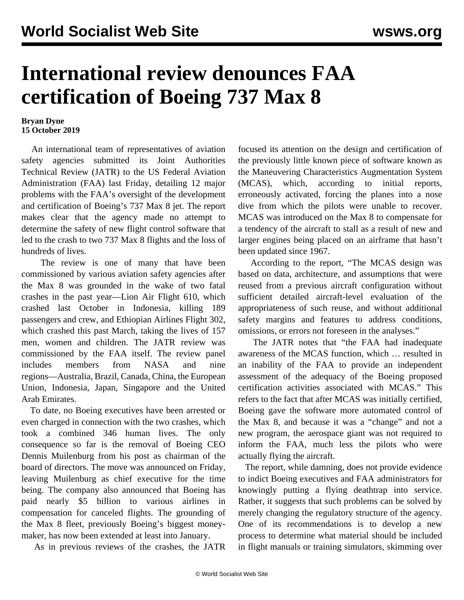## **International review denounces FAA certification of Boeing 737 Max 8**

## **Bryan Dyne 15 October 2019**

 An international team of representatives of aviation safety agencies submitted its Joint Authorities Technical Review (JATR) to the US Federal Aviation Administration (FAA) last Friday, detailing 12 major problems with the FAA's oversight of the development and certification of Boeing's 737 Max 8 jet. The report makes clear that the agency made no attempt to determine the safety of new flight control software that led to the crash to two 737 Max 8 flights and the loss of hundreds of lives.

 The review is one of many that have been commissioned by various aviation safety agencies after the Max 8 was grounded in the wake of two fatal crashes in the past year—Lion Air Flight 610, which crashed last October in Indonesia, killing 189 passengers and crew, and Ethiopian Airlines Flight 302, which crashed this past March, taking the lives of 157 men, women and children. The JATR review was commissioned by the FAA itself. The review panel includes members from NASA and nine regions—Australia, Brazil, Canada, China, the European Union, Indonesia, Japan, Singapore and the United Arab Emirates.

 To date, no Boeing executives have been arrested or even charged in connection with the two crashes, which took a combined 346 human lives. The only consequence so far is the removal of Boeing CEO Dennis Muilenburg from his post as chairman of the board of directors. The move was announced on Friday, leaving Muilenburg as chief executive for the time being. The company also announced that Boeing has paid nearly \$5 billion to various airlines in compensation for canceled flights. The grounding of the Max 8 fleet, previously Boeing's biggest moneymaker, has now been extended at least into January.

As in previous reviews of the crashes, the JATR

focused its attention on the design and certification of the previously little known piece of software known as the Maneuvering Characteristics Augmentation System (MCAS), which, according to initial reports, erroneously activated, forcing the planes into a nose dive from which the pilots were unable to recover. MCAS was introduced on the Max 8 to compensate for a tendency of the aircraft to stall as a result of new and larger engines being placed on an airframe that hasn't been updated since 1967.

 According to the report, "The MCAS design was based on data, architecture, and assumptions that were reused from a previous aircraft configuration without sufficient detailed aircraft-level evaluation of the appropriateness of such reuse, and without additional safety margins and features to address conditions, omissions, or errors not foreseen in the analyses."

 The JATR notes that "the FAA had inadequate awareness of the MCAS function, which … resulted in an inability of the FAA to provide an independent assessment of the adequacy of the Boeing proposed certification activities associated with MCAS." This refers to the fact that after MCAS was initially certified, Boeing gave the software more automated control of the Max 8, and because it was a "change" and not a new program, the aerospace giant was not required to inform the FAA, much less the pilots who were actually flying the aircraft.

 The report, while damning, does not provide evidence to indict Boeing executives and FAA administrators for knowingly putting a flying deathtrap into service. Rather, it suggests that such problems can be solved by merely changing the regulatory structure of the agency. One of its recommendations is to develop a new process to determine what material should be included in flight manuals or training simulators, skimming over